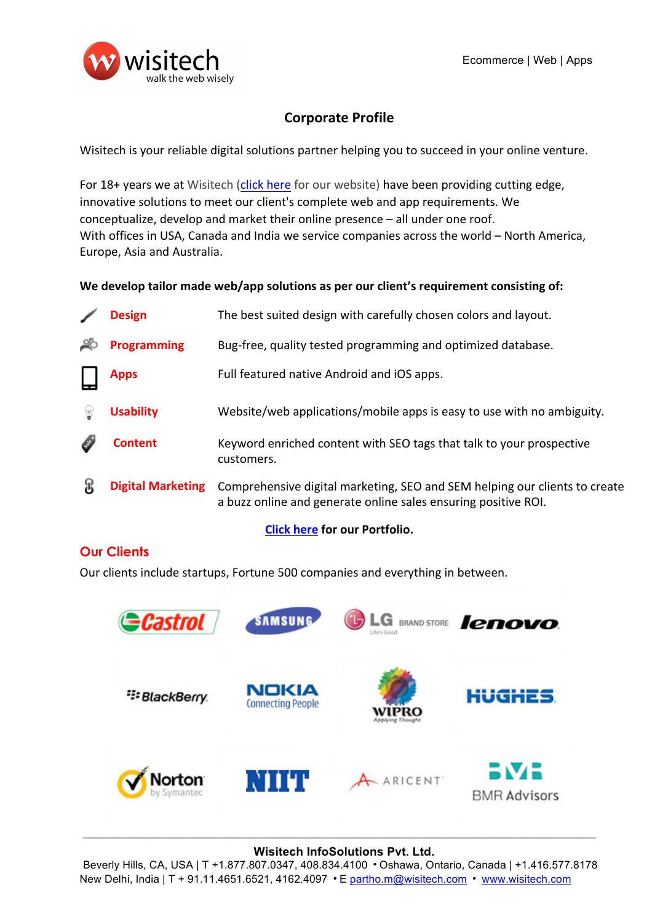

# **Corporate Profile**

Wisitech is your reliable digital solutions partner helping you to succeed in your online venture.

For 18+ years we at Wisitech (click here for our website) have been providing cutting edge, innovative solutions to meet our client's complete web and app requirements. We conceptualize, develop and market their online presence  $-$  all under one roof. With offices in USA, Canada and India we service companies across the world – North America, Europe, Asia and Australia.

### We develop tailor made web/app solutions as per our client's requirement consisting of:

| <b>Design</b>            | The best suited design with carefully chosen colors and layout.                                                                              |
|--------------------------|----------------------------------------------------------------------------------------------------------------------------------------------|
| <b>Programming</b>       | Bug-free, quality tested programming and optimized database.                                                                                 |
| <b>Apps</b>              | Full featured native Android and iOS apps.                                                                                                   |
| <b>Usability</b>         | Website/web applications/mobile apps is easy to use with no ambiguity.                                                                       |
| Content                  | Keyword enriched content with SEO tags that talk to your prospective<br>customers.                                                           |
| <b>Digital Marketing</b> | Comprehensive digital marketing, SEO and SEM helping our clients to create<br>a buzz online and generate online sales ensuring positive ROI. |

### **Click here for our Portfolio.**

## **Our Clients**

Our clients include startups, Fortune 500 companies and everything in between.



# $\_$  , and the contribution of the contribution of the contribution of the contribution of  $\mathcal{L}_\text{max}$ **Wisitech InfoSolutions Pvt. Ltd.**

Beverly Hills, CA, USA | T +1.877.807.0347, 408.834.4100 • Oshawa, Ontario, Canada | +1.416.577.8178 New Delhi, India | T + 91.11.4651.6521, 4162.4097 • E partho.m@wisitech.com • www.wisitech.com